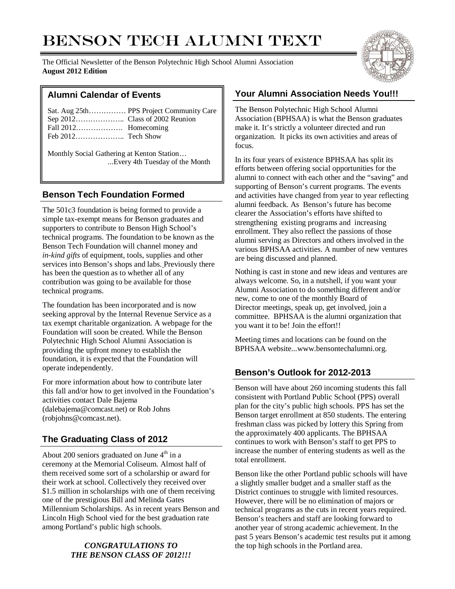# BENSON TECH ALUMNI TEXT

The Official Newsletter of the Benson Polytechnic High School Alumni Association **August 2012 Edition**



Monthly Social Gathering at Kenton Station… ...Every 4th Tuesday of the Month

# **Benson Tech Foundation Formed**

The 501c3 foundation is being formed to provide a simple tax-exempt means for Benson graduates and supporters to contribute to Benson High School's technical programs. The foundation to be known as the Benson Tech Foundation will channel money and *in-kind gifts* of equipment, tools, supplies and other services into Benson's shops and labs. Previously there has been the question as to whether all of any contribution was going to be available for those technical programs.

The foundation has been incorporated and is now seeking approval by the Internal Revenue Service as a tax exempt charitable organization. A webpage for the Foundation will soon be created. While the Benson Polytechnic High School Alumni Association is providing the upfront money to establish the foundation, it is expected that the Foundation will operate independently.

For more information about how to contribute later this fall and/or how to get involved in the Foundation's activities contact Dale Bajema (dalebajema@comcast.net) or Rob Johns (robjohns@comcast.net).

# **The Graduating Class of 2012**

About 200 seniors graduated on June  $4<sup>th</sup>$  in a ceremony at the Memorial Coliseum. Almost half of them received some sort of a scholarship or award for their work at school. Collectively they received over \$1.5 million in scholarships with one of them receiving one of the prestigious Bill and Melinda Gates Millennium Scholarships. As in recent years Benson and Lincoln High School vied for the best graduation rate among Portland's public high schools.

#### *CONGRATULATIONS TO THE BENSON CLASS OF 2012!!!*

# **Alumni Calendar of Events Your Alumni Association Needs You!!!**

The Benson Polytechnic High School Alumni Association (BPHSAA) is what the Benson graduates make it. It's strictly a volunteer directed and run organization. It picks its own activities and areas of focus.

In its four years of existence BPHSAA has split its efforts between offering social opportunities for the alumni to connect with each other and the "saving" and supporting of Benson's current programs. The events and activities have changed from year to year reflecting alumni feedback. As Benson's future has become clearer the Association's efforts have shifted to strengthening existing programs and increasing enrollment. They also reflect the passions of those alumni serving as Directors and others involved in the various BPHSAA activities. A number of new ventures are being discussed and planned.

Nothing is cast in stone and new ideas and ventures are always welcome. So, in a nutshell, if you want your Alumni Association to do something different and/or new, come to one of the monthly Board of Director meetings, speak up, get involved, join a committee. BPHSAA is the alumni organization that you want it to be! Join the effort!!

Meeting times and locations can be found on the BPHSAA website...www.bensontechalumni.org.

# **Benson's Outlook for 2012-2013**

Benson will have about 260 incoming students this fall consistent with Portland Public School (PPS) overall plan for the city's public high schools. PPS has set the Benson target enrollment at 850 students. The entering freshman class was picked by lottery this Spring from the approximately 400 applicants. The BPHSAA continues to work with Benson's staff to get PPS to increase the number of entering students as well as the total enrollment.

Benson like the other Portland public schools will have a slightly smaller budget and a smaller staff as the District continues to struggle with limited resources. However, there will be no elimination of majors or technical programs as the cuts in recent years required. Benson's teachers and staff are looking forward to another year of strong academic achievement. In the past 5 years Benson's academic test results put it among the top high schools in the Portland area.